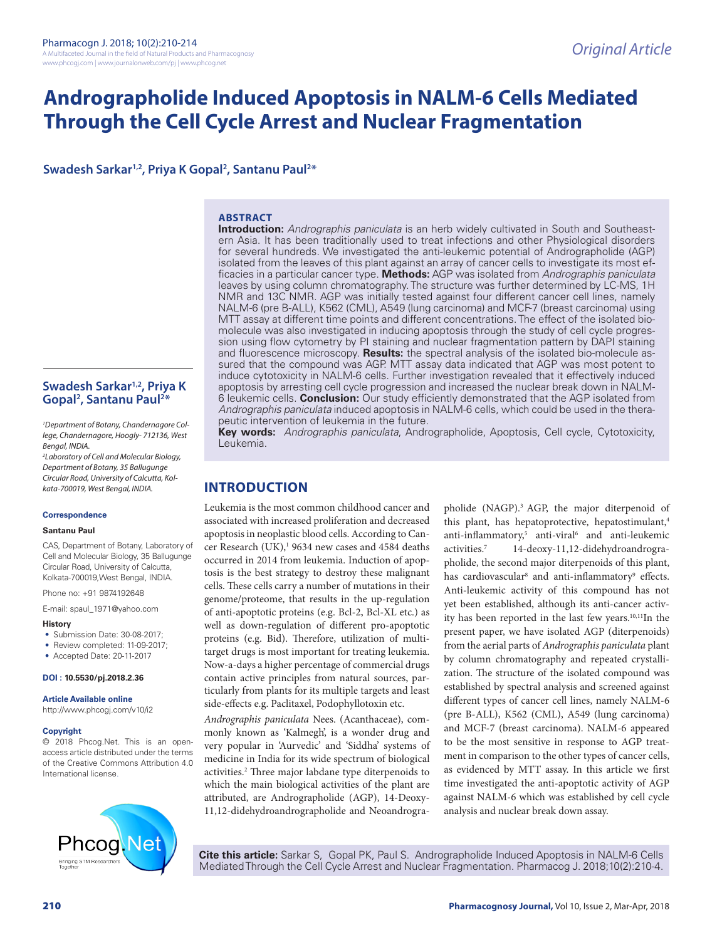# **Andrographolide Induced Apoptosis in NALM-6 Cells Mediated Through the Cell Cycle Arrest and Nuclear Fragmentation**

## Swadesh Sarkar<sup>1,2</sup>, Priya K Gopal<sup>2</sup>, Santanu Paul<sup>2\*</sup>

#### **ABSTRACT**

**Introduction:** *Andrographis paniculata* is an herb widely cultivated in South and Southeastern Asia. It has been traditionally used to treat infections and other Physiological disorders for several hundreds. We investigated the anti-leukemic potential of Andrographolide (AGP) isolated from the leaves of this plant against an array of cancer cells to investigate its most efficacies in a particular cancer type. **Methods:** AGP was isolated from *Andrographis paniculata*  leaves by using column chromatography. The structure was further determined by LC-MS, 1H NMR and 13C NMR. AGP was initially tested against four different cancer cell lines, namely NALM-6 (pre B-ALL), K562 (CML), A549 (lung carcinoma) and MCF-7 (breast carcinoma) using MTT assay at different time points and different concentrations. The effect of the isolated biomolecule was also investigated in inducing apoptosis through the study of cell cycle progression using flow cytometry by PI staining and nuclear fragmentation pattern by DAPI staining and fluorescence microscopy. **Results:** the spectral analysis of the isolated bio-molecule assured that the compound was AGP. MTT assay data indicated that AGP was most potent to induce cytotoxicity in NALM-6 cells. Further investigation revealed that it effectively induced apoptosis by arresting cell cycle progression and increased the nuclear break down in NALM-6 leukemic cells. **Conclusion:** Our study efficiently demonstrated that the AGP isolated from *Andrographis paniculata* induced apoptosis in NALM-6 cells, which could be used in the therapeutic intervention of leukemia in the future.

**Key words:** *Andrographis paniculata*, Andrographolide, Apoptosis, Cell cycle, Cytotoxicity, Leukemia.

## **INTRODUCTION**

Leukemia is the most common childhood cancer and associated with increased proliferation and decreased apoptosis in neoplastic blood cells. According to Cancer Research  $(UK)^{1}$  9634 new cases and 4584 deaths occurred in 2014 from leukemia. Induction of apoptosis is the best strategy to destroy these malignant cells. These cells carry a number of mutations in their genome/proteome, that results in the up-regulation of anti-apoptotic proteins (e.g. Bcl-2, Bcl-XL etc.) as well as down-regulation of different pro-apoptotic proteins (e.g. Bid). Therefore, utilization of multitarget drugs is most important for treating leukemia. Now-a-days a higher percentage of commercial drugs contain active principles from natural sources, particularly from plants for its multiple targets and least side-effects e.g. Paclitaxel, Podophyllotoxin etc.

*Andrographis paniculata* Nees. (Acanthaceae), commonly known as 'Kalmegh', is a wonder drug and very popular in 'Aurvedic' and 'Siddha' systems of medicine in India for its wide spectrum of biological activities.<sup>2</sup> Three major labdane type diterpenoids to which the main biological activities of the plant are attributed, are Andrographolide (AGP), 14-Deoxy-11,12-didehydroandrographolide and Neoandrographolide (NAGP).3 AGP, the major diterpenoid of this plant, has hepatoprotective, hepatostimulant,<sup>4</sup> anti-inflammatory,<sup>5</sup> anti-viral<sup>6</sup> and anti-leukemic activities.7 14-deoxy-11,12-didehydroandrographolide, the second major diterpenoids of this plant, has cardiovascular<sup>8</sup> and anti-inflammatory<sup>9</sup> effects. Anti-leukemic activity of this compound has not yet been established, although its anti-cancer activity has been reported in the last few years.10,11In the present paper, we have isolated AGP (diterpenoids) from the aerial parts of *Andrographis paniculata* plant by column chromatography and repeated crystallization. The structure of the isolated compound was established by spectral analysis and screened against different types of cancer cell lines, namely NALM-6 (pre B-ALL), K562 (CML), A549 (lung carcinoma) and MCF-7 (breast carcinoma). NALM-6 appeared to be the most sensitive in response to AGP treatment in comparison to the other types of cancer cells, as evidenced by MTT assay. In this article we first time investigated the anti-apoptotic activity of AGP against NALM-6 which was established by cell cycle analysis and nuclear break down assay.

**Cite this article:** Sarkar S, Gopal PK, Paul S. Andrographolide Induced Apoptosis in NALM-6 Cells Mediated Through the Cell Cycle Arrest and Nuclear Fragmentation. Pharmacog J. 2018;10(2):210-4.

## **Swadesh Sarkar1,2, Priya K Gopal2 , Santanu Paul2 \***

*1 Department of Botany, Chandernagore College, Chandernagore, Hoogly- 712136, West Bengal, INDIA.*

*2 Laboratory of Cell and Molecular Biology, Department of Botany, 35 Ballugunge Circular Road, University of Calcutta, Kolkata-700019, West Bengal, INDIA.*

#### **Correspondence**

#### **Santanu Paul**

CAS, Department of Botany, Laboratory of Cell and Molecular Biology, 35 Ballugunge Circular Road, University of Calcutta, Kolkata-700019,West Bengal, INDIA.

Phone no: +91 9874192648

E-mail: spaul\_1971@yahoo.com

#### **History**

- Submission Date: 30-08-2017;
- Review completed: 11-09-2017;
- Accepted Date: 20-11-2017

**DOI : 10.5530/pj.2018.2.36**

#### **Article Available online**

http://www.phcogj.com/v10/i2

#### **Copyright**

© 2018 Phcog.Net. This is an openaccess article distributed under the terms of the Creative Commons Attribution 4.0 International license.

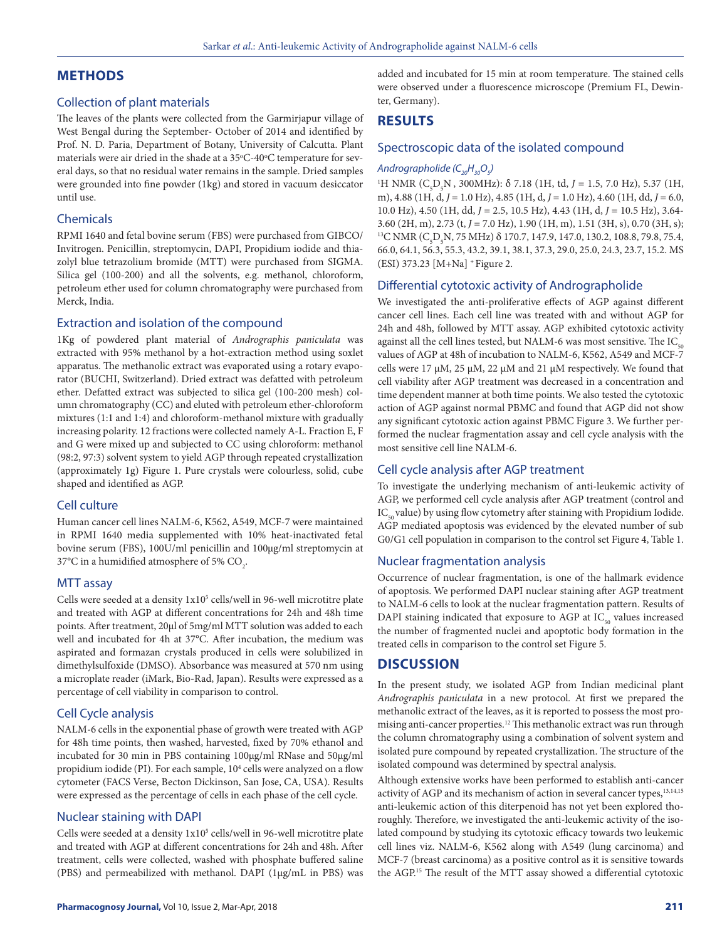## **METHODS**

## Collection of plant materials

The leaves of the plants were collected from the Garmirjapur village of West Bengal during the September- October of 2014 and identified by Prof. N. D. Paria, Department of Botany, University of Calcutta. Plant materials were air dried in the shade at a  $35^{\circ}$ C-40 $^{\circ}$ C temperature for several days, so that no residual water remains in the sample. Dried samples were grounded into fine powder (1kg) and stored in vacuum desiccator until use.

## Chemicals

RPMI 1640 and fetal bovine serum (FBS) were purchased from GIBCO/ Invitrogen. Penicillin, streptomycin, DAPI, Propidium iodide and thiazolyl blue tetrazolium bromide (MTT) were purchased from SIGMA. Silica gel (100-200) and all the solvents, e.g. methanol, chloroform, petroleum ether used for column chromatography were purchased from Merck, India.

## Extraction and isolation of the compound

1Kg of powdered plant material of *Andrographis paniculata* was extracted with 95% methanol by a hot-extraction method using soxlet apparatus. The methanolic extract was evaporated using a rotary evaporator (BUCHI, Switzerland). Dried extract was defatted with petroleum ether. Defatted extract was subjected to silica gel (100-200 mesh) column chromatography (CC) and eluted with petroleum ether-chloroform mixtures (1:1 and 1:4) and chloroform-methanol mixture with gradually increasing polarity. 12 fractions were collected namely A-L. Fraction E, F and G were mixed up and subjected to CC using chloroform: methanol (98:2, 97:3) solvent system to yield AGP through repeated crystallization (approximately 1g) Figure 1. Pure crystals were colourless, solid, cube shaped and identified as AGP.

## Cell culture

Human cancer cell lines NALM-6, K562, A549, MCF-7 were maintained in RPMI 1640 media supplemented with 10% heat-inactivated fetal bovine serum (FBS), 100U/ml penicillin and 100μg/ml streptomycin at 37°C in a humidified atmosphere of 5%  $\mathrm{CO}_2$ .

#### MTT assay

Cells were seeded at a density 1x10<sup>5</sup> cells/well in 96-well microtitre plate and treated with AGP at different concentrations for 24h and 48h time points. After treatment, 20μl of 5mg/ml MTT solution was added to each well and incubated for 4h at 37°C. After incubation, the medium was aspirated and formazan crystals produced in cells were solubilized in dimethylsulfoxide (DMSO). Absorbance was measured at 570 nm using a microplate reader (iMark, Bio-Rad, Japan). Results were expressed as a percentage of cell viability in comparison to control.

#### Cell Cycle analysis

NALM-6 cells in the exponential phase of growth were treated with AGP for 48h time points, then washed, harvested, fixed by 70% ethanol and incubated for 30 min in PBS containing 100µg/ml RNase and 50µg/ml propidium iodide (PI). For each sample, 10<sup>4</sup> cells were analyzed on a flow cytometer (FACS Verse, Becton Dickinson, San Jose, CA, USA). Results were expressed as the percentage of cells in each phase of the cell cycle.

#### Nuclear staining with DAPI

Cells were seeded at a density  $1x10<sup>5</sup>$  cells/well in 96-well microtitre plate and treated with AGP at different concentrations for 24h and 48h. After treatment, cells were collected, washed with phosphate buffered saline (PBS) and permeabilized with methanol. DAPI (1μg/mL in PBS) was

added and incubated for 15 min at room temperature. The stained cells were observed under a fluorescence microscope (Premium FL, Dewinter, Germany).

## **RESULTS**

#### Spectroscopic data of the isolated compound

## *Andrographolide (C20H30O5 )*

<sup>1</sup>H NMR (C<sub>5</sub>D<sub>5</sub>N, 300MHz): δ 7.18 (1H, td, *J* = 1.5, 7.0 Hz), 5.37 (1H, m), 4.88 (1H, d, *J* = 1.0 Hz), 4.85 (1H, d, *J* = 1.0 Hz), 4.60 (1H, dd, *J* = 6.0, 10.0 Hz), 4.50 (1H, dd, *J* = 2.5, 10.5 Hz), 4.43 (1H, d, *J* = 10.5 Hz), 3.64- 3.60 (2H, m), 2.73 (t, *J* = 7.0 Hz), 1.90 (1H, m), 1.51 (3H, s), 0.70 (3H, s);<br><sup>13</sup>C NMR (C<sub>5</sub>D<sub>5</sub>N, 75 MHz) δ 170.7, 147.9, 147.0, 130.2, 108.8, 79.8, 75.4, 66.0, 64.1, 56.3, 55.3, 43.2, 39.1, 38.1, 37.3, 29.0, 25.0, 24.3, 23.7, 15.2. MS (ESI) 373.23 [M+Na] + Figure 2.

#### Differential cytotoxic activity of Andrographolide

We investigated the anti-proliferative effects of AGP against different cancer cell lines. Each cell line was treated with and without AGP for 24h and 48h, followed by MTT assay. AGP exhibited cytotoxic activity against all the cell lines tested, but NALM-6 was most sensitive. The  $IC_{50}$ values of AGP at 48h of incubation to NALM-6, K562, A549 and MCF-7 cells were 17 μM, 25 μM, 22 μM and 21 μM respectively. We found that cell viability after AGP treatment was decreased in a concentration and time dependent manner at both time points. We also tested the cytotoxic action of AGP against normal PBMC and found that AGP did not show any significant cytotoxic action against PBMC Figure 3. We further performed the nuclear fragmentation assay and cell cycle analysis with the most sensitive cell line NALM-6.

#### Cell cycle analysis after AGP treatment

To investigate the underlying mechanism of anti-leukemic activity of AGP, we performed cell cycle analysis after AGP treatment (control and  $IC_{50}$  value) by using flow cytometry after staining with Propidium Iodide. AGP mediated apoptosis was evidenced by the elevated number of sub G0/G1 cell population in comparison to the control set Figure 4, Table 1.

#### Nuclear fragmentation analysis

Occurrence of nuclear fragmentation, is one of the hallmark evidence of apoptosis. We performed DAPI nuclear staining after AGP treatment to NALM-6 cells to look at the nuclear fragmentation pattern. Results of DAPI staining indicated that exposure to AGP at  $IC_{50}$  values increased the number of fragmented nuclei and apoptotic body formation in the treated cells in comparison to the control set Figure 5.

## **DISCUSSION**

In the present study, we isolated AGP from Indian medicinal plant *Andrographis paniculata* in a new protocol*.* At first we prepared the methanolic extract of the leaves, as it is reported to possess the most promising anti-cancer properties.12 This methanolic extract was run through the column chromatography using a combination of solvent system and isolated pure compound by repeated crystallization. The structure of the isolated compound was determined by spectral analysis.

Although extensive works have been performed to establish anti-cancer activity of AGP and its mechanism of action in several cancer types,<sup>13,14,15</sup> anti-leukemic action of this diterpenoid has not yet been explored thoroughly. Therefore, we investigated the anti-leukemic activity of the isolated compound by studying its cytotoxic efficacy towards two leukemic cell lines viz. NALM-6, K562 along with A549 (lung carcinoma) and MCF-7 (breast carcinoma) as a positive control as it is sensitive towards the AGP.15 The result of the MTT assay showed a differential cytotoxic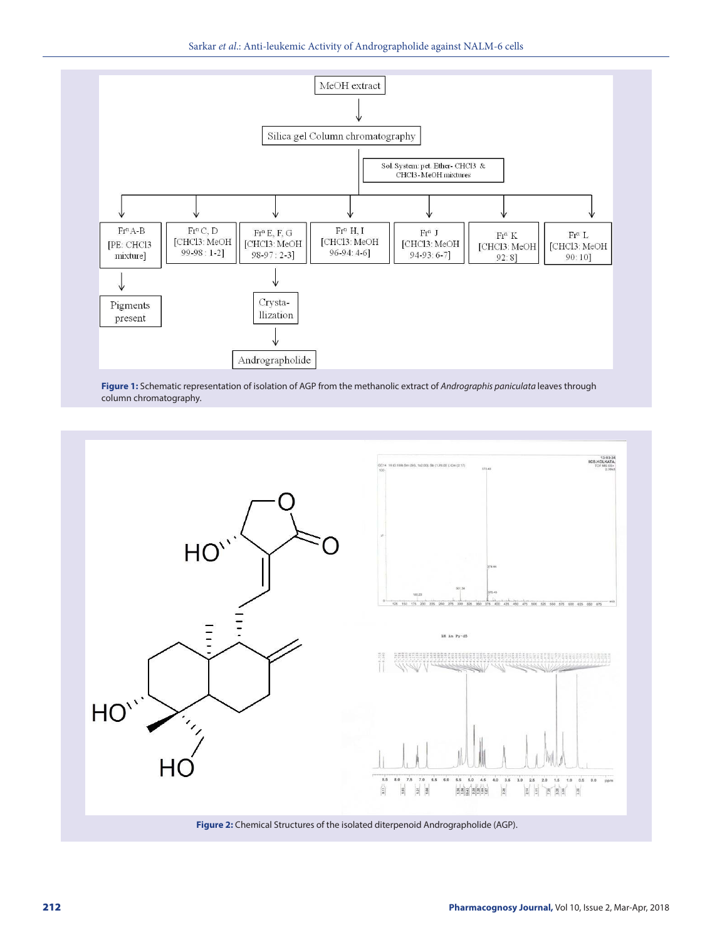Sarkar *et al*.: Anti-leukemic Activity of Andrographolide against NALM-6 cells



**Figure 1:** Schematic representation of isolation of AGP from the methanolic extract of *Andrographis paniculata* leaves through column chromatography.



**Figure 2:** Chemical Structures of the isolated diterpenoid Andrographolide (AGP).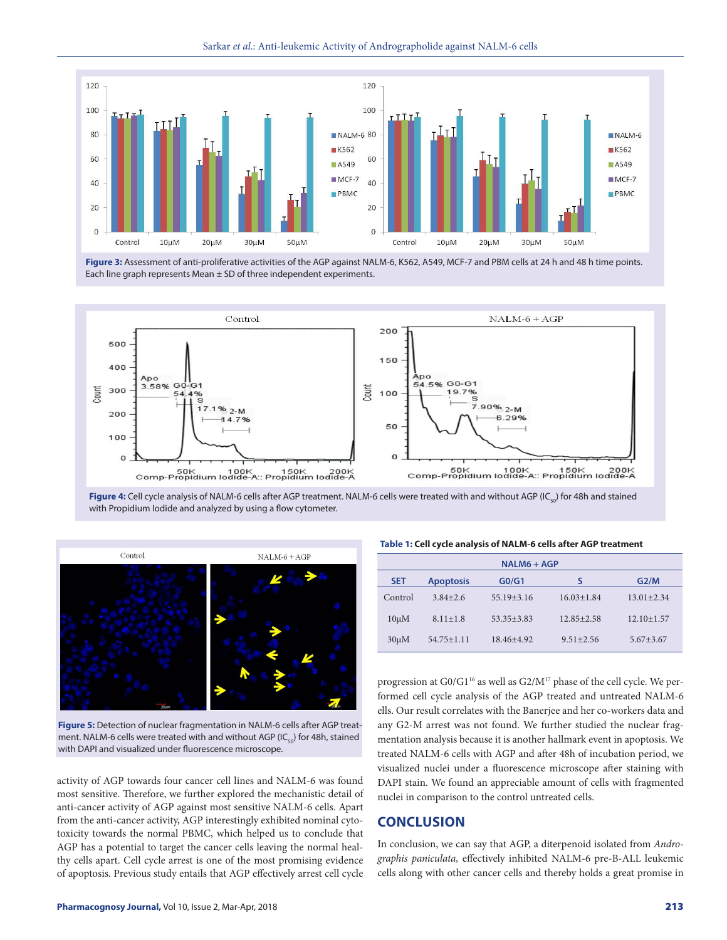Sarkar *et al*.: Anti-leukemic Activity of Andrographolide against NALM-6 cells



**Figure 3:** Assessment of anti-proliferative activities of the AGP against NALM-6, K562, A549, MCF-7 and PBM cells at 24 h and 48 h time points. Each line graph represents Mean ± SD of three independent experiments.



Figure 4: Cell cycle analysis of NALM-6 cells after AGP treatment. NALM-6 cells were treated with and without AGP (IC<sub>50</sub>) for 48h and stained with Propidium Iodide and analyzed by using a flow cytometer.



**Figure 5:** Detection of nuclear fragmentation in NALM-6 cells after AGP treatment. NALM-6 cells were treated with and without AGP (IC $_{50}$ ) for 48h, stained with DAPI and visualized under fluorescence microscope.

activity of AGP towards four cancer cell lines and NALM-6 was found most sensitive. Therefore, we further explored the mechanistic detail of anti-cancer activity of AGP against most sensitive NALM-6 cells. Apart from the anti-cancer activity, AGP interestingly exhibited nominal cytotoxicity towards the normal PBMC, which helped us to conclude that AGP has a potential to target the cancer cells leaving the normal healthy cells apart. Cell cycle arrest is one of the most promising evidence of apoptosis. Previous study entails that AGP effectively arrest cell cycle

#### **Table 1: Cell cycle analysis of NALM-6 cells after AGP treatment**

| NALM6 + AGP |                  |                                |                  |                 |
|-------------|------------------|--------------------------------|------------------|-----------------|
| <b>SET</b>  | <b>Apoptosis</b> | G <sub>0</sub> /G <sub>1</sub> |                  | G2/M            |
| Control     | $3.84 + 2.6$     | $55.19 + 3.16$                 | $16.03 \pm 1.84$ | $13.01 + 2.34$  |
| $10 \mu M$  | $8.11 \pm 1.8$   | $53.35 + 3.83$                 | $12.85 + 2.58$   | $12.10 + 1.57$  |
| $30 \mu M$  | $54.75 \pm 1.11$ | 18.46+4.92                     | $9.51 + 2.56$    | $5.67 \pm 3.67$ |

progression at G0/G1<sup>16</sup> as well as G2/M<sup>17</sup> phase of the cell cycle. We performed cell cycle analysis of the AGP treated and untreated NALM-6 ells. Our result correlates with the Banerjee and her co-workers data and any G2-M arrest was not found. We further studied the nuclear fragmentation analysis because it is another hallmark event in apoptosis. We treated NALM-6 cells with AGP and after 48h of incubation period, we visualized nuclei under a fluorescence microscope after staining with DAPI stain. We found an appreciable amount of cells with fragmented nuclei in comparison to the control untreated cells.

## **CONCLUSION**

In conclusion, we can say that AGP, a diterpenoid isolated from *Andrographis paniculata,* effectively inhibited NALM-6 pre-B-ALL leukemic cells along with other cancer cells and thereby holds a great promise in